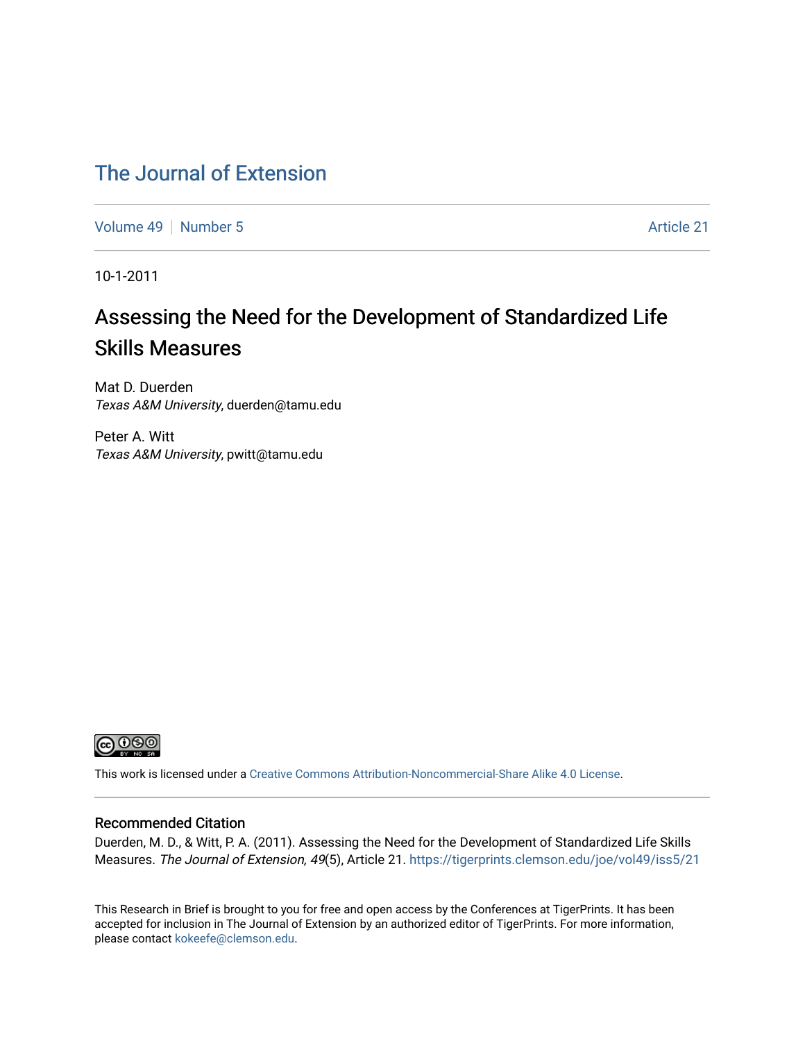### [The Journal of Extension](https://tigerprints.clemson.edu/joe)

[Volume 49](https://tigerprints.clemson.edu/joe/vol49) [Number 5](https://tigerprints.clemson.edu/joe/vol49/iss5) Article 21

10-1-2011

# Assessing the Need for the Development of Standardized Life Skills Measures

Mat D. Duerden Texas A&M University, duerden@tamu.edu

Peter A. Witt Texas A&M University, pwitt@tamu.edu



This work is licensed under a [Creative Commons Attribution-Noncommercial-Share Alike 4.0 License.](https://creativecommons.org/licenses/by-nc-sa/4.0/)

#### Recommended Citation

Duerden, M. D., & Witt, P. A. (2011). Assessing the Need for the Development of Standardized Life Skills Measures. The Journal of Extension, 49(5), Article 21. <https://tigerprints.clemson.edu/joe/vol49/iss5/21>

This Research in Brief is brought to you for free and open access by the Conferences at TigerPrints. It has been accepted for inclusion in The Journal of Extension by an authorized editor of TigerPrints. For more information, please contact [kokeefe@clemson.edu](mailto:kokeefe@clemson.edu).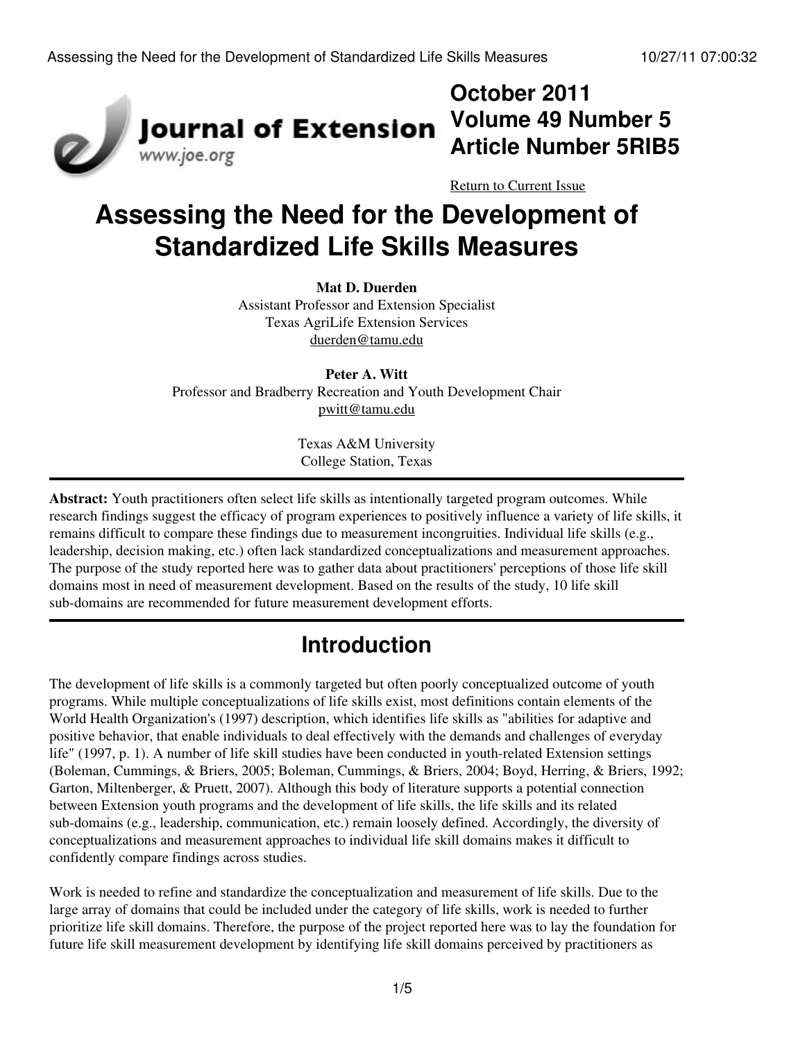

# **October 2011 Volume 49 Number 5 Article Number 5RIB5**

[Return to Current Issue](http://www.joe.org:80/joe/2011october/)

# **Assessing the Need for the Development of Standardized Life Skills Measures**

#### **Mat D. Duerden**

Assistant Professor and Extension Specialist Texas AgriLife Extension Services [duerden@tamu.edu](mailto:duerden@tamu.edu)

**Peter A. Witt** Professor and Bradberry Recreation and Youth Development Chair [pwitt@tamu.edu](mailto:pwitt@tamu.edu)

> Texas A&M University College Station, Texas

**Abstract:** Youth practitioners often select life skills as intentionally targeted program outcomes. While research findings suggest the efficacy of program experiences to positively influence a variety of life skills, it remains difficult to compare these findings due to measurement incongruities. Individual life skills (e.g., leadership, decision making, etc.) often lack standardized conceptualizations and measurement approaches. The purpose of the study reported here was to gather data about practitioners' perceptions of those life skill domains most in need of measurement development. Based on the results of the study, 10 life skill sub-domains are recommended for future measurement development efforts.

# **Introduction**

The development of life skills is a commonly targeted but often poorly conceptualized outcome of youth programs. While multiple conceptualizations of life skills exist, most definitions contain elements of the World Health Organization's (1997) description, which identifies life skills as "abilities for adaptive and positive behavior, that enable individuals to deal effectively with the demands and challenges of everyday life" (1997, p. 1). A number of life skill studies have been conducted in youth-related Extension settings (Boleman, Cummings, & Briers, 2005; Boleman, Cummings, & Briers, 2004; Boyd, Herring, & Briers, 1992; Garton, Miltenberger, & Pruett, 2007). Although this body of literature supports a potential connection between Extension youth programs and the development of life skills, the life skills and its related sub-domains (e.g., leadership, communication, etc.) remain loosely defined. Accordingly, the diversity of conceptualizations and measurement approaches to individual life skill domains makes it difficult to confidently compare findings across studies.

Work is needed to refine and standardize the conceptualization and measurement of life skills. Due to the large array of domains that could be included under the category of life skills, work is needed to further prioritize life skill domains. Therefore, the purpose of the project reported here was to lay the foundation for future life skill measurement development by identifying life skill domains perceived by practitioners as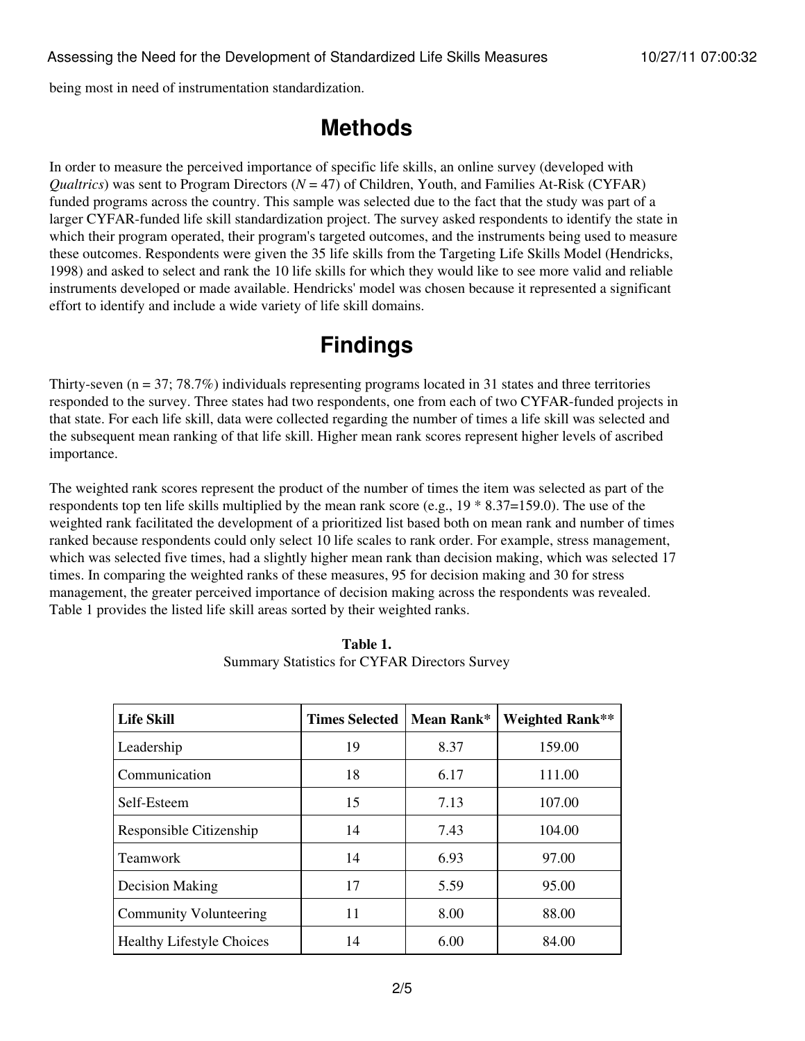being most in need of instrumentation standardization.

### **Methods**

In order to measure the perceived importance of specific life skills, an online survey (developed with *Qualtrics*) was sent to Program Directors (*N* = 47) of Children, Youth, and Families At-Risk (CYFAR) funded programs across the country. This sample was selected due to the fact that the study was part of a larger CYFAR-funded life skill standardization project. The survey asked respondents to identify the state in which their program operated, their program's targeted outcomes, and the instruments being used to measure these outcomes. Respondents were given the 35 life skills from the Targeting Life Skills Model (Hendricks, 1998) and asked to select and rank the 10 life skills for which they would like to see more valid and reliable instruments developed or made available. Hendricks' model was chosen because it represented a significant effort to identify and include a wide variety of life skill domains.

## **Findings**

Thirty-seven ( $n = 37$ ; 78.7%) individuals representing programs located in 31 states and three territories responded to the survey. Three states had two respondents, one from each of two CYFAR-funded projects in that state. For each life skill, data were collected regarding the number of times a life skill was selected and the subsequent mean ranking of that life skill. Higher mean rank scores represent higher levels of ascribed importance.

The weighted rank scores represent the product of the number of times the item was selected as part of the respondents top ten life skills multiplied by the mean rank score (e.g., 19 \* 8.37=159.0). The use of the weighted rank facilitated the development of a prioritized list based both on mean rank and number of times ranked because respondents could only select 10 life scales to rank order. For example, stress management, which was selected five times, had a slightly higher mean rank than decision making, which was selected 17 times. In comparing the weighted ranks of these measures, 95 for decision making and 30 for stress management, the greater perceived importance of decision making across the respondents was revealed. Table 1 provides the listed life skill areas sorted by their weighted ranks.

| <b>Life Skill</b>                | <b>Times Selected  </b> | Mean Rank* | Weighted Rank** |
|----------------------------------|-------------------------|------------|-----------------|
| Leadership                       | 19                      | 8.37       | 159.00          |
| Communication                    | 18                      | 6.17       | 111.00          |
| Self-Esteem                      | 15                      | 7.13       | 107.00          |
| Responsible Citizenship          | 14                      | 7.43       | 104.00          |
| Teamwork                         | 14                      | 6.93       | 97.00           |
| Decision Making                  | 17                      | 5.59       | 95.00           |
| Community Volunteering           | 11                      | 8.00       | 88.00           |
| <b>Healthy Lifestyle Choices</b> | 14                      | 6.00       | 84.00           |

| Table 1.                                             |
|------------------------------------------------------|
| <b>Summary Statistics for CYFAR Directors Survey</b> |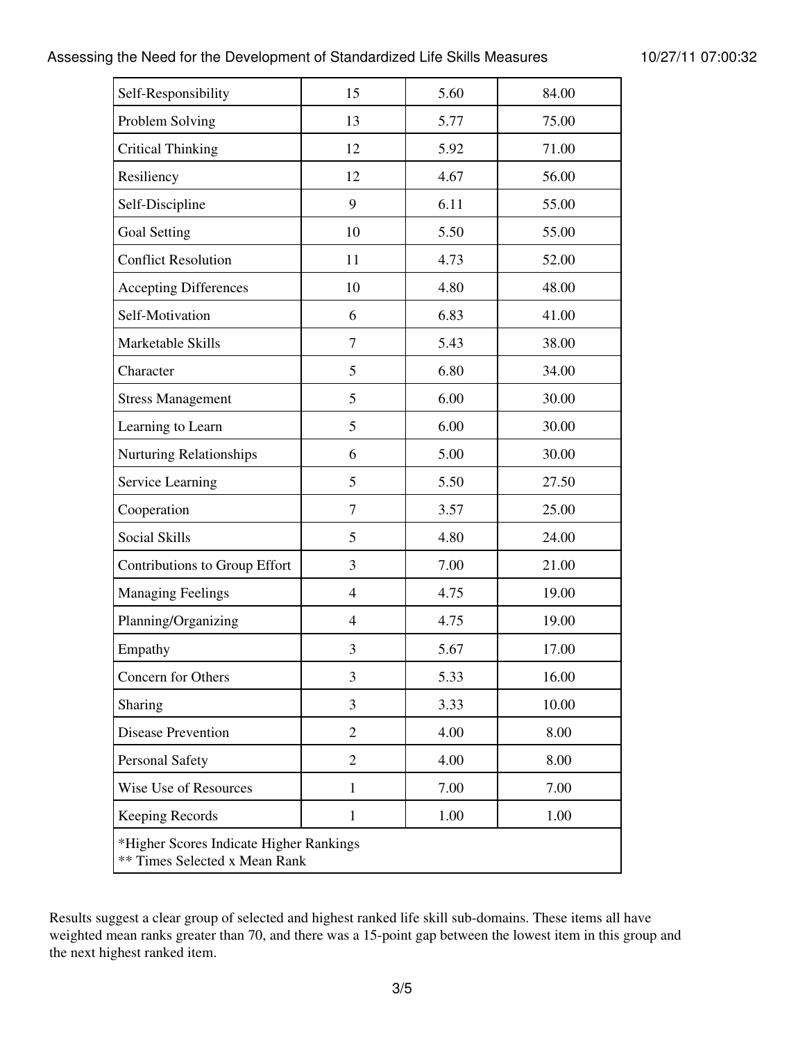### Assessing the Need for the Development of Standardized Life Skills Measures 10/27/11 07:00:32

| Self-Responsibility                                                             | 15             | 5.60 | 84.00 |  |  |
|---------------------------------------------------------------------------------|----------------|------|-------|--|--|
| Problem Solving                                                                 | 13             | 5.77 | 75.00 |  |  |
| <b>Critical Thinking</b>                                                        | 12             | 5.92 | 71.00 |  |  |
| Resiliency                                                                      | 12             | 4.67 | 56.00 |  |  |
| Self-Discipline                                                                 | 9              | 6.11 | 55.00 |  |  |
| <b>Goal Setting</b>                                                             | 10             | 5.50 | 55.00 |  |  |
| <b>Conflict Resolution</b>                                                      | 11             | 4.73 | 52.00 |  |  |
| <b>Accepting Differences</b>                                                    | 10             | 4.80 | 48.00 |  |  |
| Self-Motivation                                                                 | 6              | 6.83 | 41.00 |  |  |
| Marketable Skills                                                               | $\overline{7}$ | 5.43 | 38.00 |  |  |
| Character                                                                       | 5              | 6.80 | 34.00 |  |  |
| <b>Stress Management</b>                                                        | 5              | 6.00 | 30.00 |  |  |
| Learning to Learn                                                               | 5              | 6.00 | 30.00 |  |  |
| <b>Nurturing Relationships</b>                                                  | 6              | 5.00 | 30.00 |  |  |
| Service Learning                                                                | 5              | 5.50 | 27.50 |  |  |
| Cooperation                                                                     | $\overline{7}$ | 3.57 | 25.00 |  |  |
| Social Skills                                                                   | 5              | 4.80 | 24.00 |  |  |
| Contributions to Group Effort                                                   | 3              | 7.00 | 21.00 |  |  |
| <b>Managing Feelings</b>                                                        | $\overline{4}$ | 4.75 | 19.00 |  |  |
| Planning/Organizing                                                             | $\overline{4}$ | 4.75 | 19.00 |  |  |
| Empathy                                                                         | 3              | 5.67 | 17.00 |  |  |
| Concern for Others                                                              | 3              | 5.33 | 16.00 |  |  |
| Sharing                                                                         | 3              | 3.33 | 10.00 |  |  |
| <b>Disease Prevention</b>                                                       | $\overline{2}$ | 4.00 | 8.00  |  |  |
| <b>Personal Safety</b>                                                          | $\overline{2}$ | 4.00 | 8.00  |  |  |
| Wise Use of Resources                                                           | $\mathbf{1}$   | 7.00 | 7.00  |  |  |
| <b>Keeping Records</b>                                                          | $\mathbf{1}$   | 1.00 | 1.00  |  |  |
| *Higher Scores Indicate Higher Rankings<br><b>** Times Selected x Mean Rank</b> |                |      |       |  |  |

Results suggest a clear group of selected and highest ranked life skill sub-domains. These items all have weighted mean ranks greater than 70, and there was a 15-point gap between the lowest item in this group and the next highest ranked item.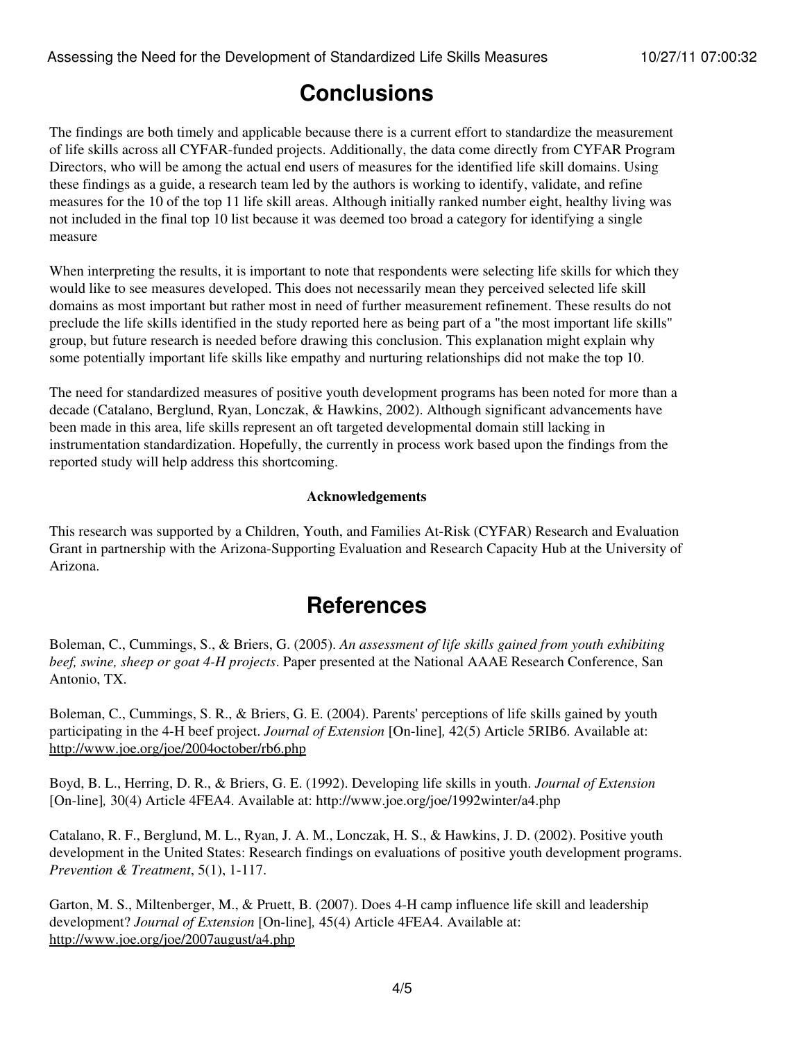## **Conclusions**

The findings are both timely and applicable because there is a current effort to standardize the measurement of life skills across all CYFAR-funded projects. Additionally, the data come directly from CYFAR Program Directors, who will be among the actual end users of measures for the identified life skill domains. Using these findings as a guide, a research team led by the authors is working to identify, validate, and refine measures for the 10 of the top 11 life skill areas. Although initially ranked number eight, healthy living was not included in the final top 10 list because it was deemed too broad a category for identifying a single measure

When interpreting the results, it is important to note that respondents were selecting life skills for which they would like to see measures developed. This does not necessarily mean they perceived selected life skill domains as most important but rather most in need of further measurement refinement. These results do not preclude the life skills identified in the study reported here as being part of a "the most important life skills" group, but future research is needed before drawing this conclusion. This explanation might explain why some potentially important life skills like empathy and nurturing relationships did not make the top 10.

The need for standardized measures of positive youth development programs has been noted for more than a decade (Catalano, Berglund, Ryan, Lonczak, & Hawkins, 2002). Although significant advancements have been made in this area, life skills represent an oft targeted developmental domain still lacking in instrumentation standardization. Hopefully, the currently in process work based upon the findings from the reported study will help address this shortcoming.

#### **Acknowledgements**

This research was supported by a Children, Youth, and Families At-Risk (CYFAR) Research and Evaluation Grant in partnership with the Arizona-Supporting Evaluation and Research Capacity Hub at the University of Arizona.

### **References**

Boleman, C., Cummings, S., & Briers, G. (2005). *An assessment of life skills gained from youth exhibiting beef, swine, sheep or goat 4-H projects*. Paper presented at the National AAAE Research Conference, San Antonio, TX.

Boleman, C., Cummings, S. R., & Briers, G. E. (2004). Parents' perceptions of life skills gained by youth participating in the 4-H beef project. *Journal of Extension* [On-line]*,* 42(5) Article 5RIB6. Available at: <http://www.joe.org/joe/2004october/rb6.php>

Boyd, B. L., Herring, D. R., & Briers, G. E. (1992). Developing life skills in youth. *Journal of Extension* [On-line]*,* 30(4) Article 4FEA4. Available at: http://www.joe.org/joe/1992winter/a4.php

Catalano, R. F., Berglund, M. L., Ryan, J. A. M., Lonczak, H. S., & Hawkins, J. D. (2002). Positive youth development in the United States: Research findings on evaluations of positive youth development programs. *Prevention & Treatment*, 5(1), 1-117.

Garton, M. S., Miltenberger, M., & Pruett, B. (2007). Does 4-H camp influence life skill and leadership development? *Journal of Extension* [On-line]*,* 45(4) Article 4FEA4. Available at: <http://www.joe.org/joe/2007august/a4.php>